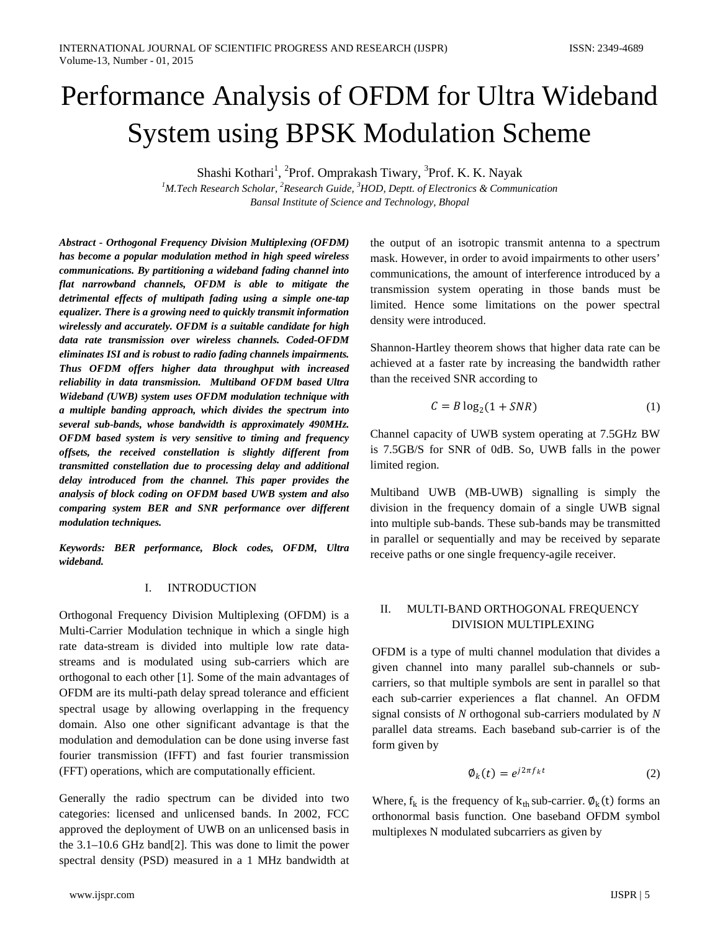# Performance Analysis of OFDM for Ultra Wideband System using BPSK Modulation Scheme

Shashi Kothari<sup>1</sup>, <sup>2</sup>Prof. Omprakash Tiwary, <sup>3</sup>Prof. K. K. Nayak

<sup>1</sup>M.Tech Research Scholar, <sup>2</sup> Research Guide, <sup>3</sup> HOD, Deptt. of Electronics & Communication *Bansal Institute of Science and Technology, Bhopal*

*Abstract - Orthogonal Frequency Division Multiplexing (OFDM) has become a popular modulation method in high speed wireless communications. By partitioning a wideband fading channel into flat narrowband channels, OFDM is able to mitigate the detrimental effects of multipath fading using a simple one-tap equalizer. There is a growing need to quickly transmit information wirelessly and accurately. OFDM is a suitable candidate for high data rate transmission over wireless channels. Coded-OFDM eliminates ISI and is robust to radio fading channels impairments. Thus OFDM offers higher data throughput with increased reliability in data transmission. Multiband OFDM based Ultra Wideband (UWB) system uses OFDM modulation technique with a multiple banding approach, which divides the spectrum into several sub-bands, whose bandwidth is approximately 490MHz. OFDM based system is very sensitive to timing and frequency offsets, the received constellation is slightly different from transmitted constellation due to processing delay and additional delay introduced from the channel. This paper provides the analysis of block coding on OFDM based UWB system and also comparing system BER and SNR performance over different modulation techniques.*

*Keywords: BER performance, Block codes, OFDM, Ultra wideband.*

# I. INTRODUCTION

Orthogonal Frequency Division Multiplexing (OFDM) is a Multi-Carrier Modulation technique in which a single high rate data-stream is divided into multiple low rate datastreams and is modulated using sub-carriers which are orthogonal to each other [1]. Some of the main advantages of OFDM are its multi-path delay spread tolerance and efficient spectral usage by allowing overlapping in the frequency domain. Also one other significant advantage is that the modulation and demodulation can be done using inverse fast fourier transmission (IFFT) and fast fourier transmission (FFT) operations, which are computationally efficient.

Generally the radio spectrum can be divided into two categories: licensed and unlicensed bands. In 2002, FCC approved the deployment of UWB on an unlicensed basis in the 3.1–10.6 GHz band[2]. This was done to limit the power spectral density (PSD) measured in a 1 MHz bandwidth at

the output of an isotropic transmit antenna to a spectrum mask. However, in order to avoid impairments to other users' communications, the amount of interference introduced by a transmission system operating in those bands must be limited. Hence some limitations on the power spectral density were introduced.

Shannon-Hartley theorem shows that higher data rate can be achieved at a faster rate by increasing the bandwidth rather than the received SNR according to

$$
C = B \log_2(1 + SNR) \tag{1}
$$

Channel capacity of UWB system operating at 7.5GHz BW is 7.5GB/S for SNR of 0dB. So, UWB falls in the power limited region.

Multiband UWB (MB-UWB) signalling is simply the division in the frequency domain of a single UWB signal into multiple sub-bands. These sub-bands may be transmitted in parallel or sequentially and may be received by separate receive paths or one single frequency-agile receiver.

# II. MULTI-BAND ORTHOGONAL FREQUENCY DIVISION MULTIPLEXING

OFDM is a type of multi channel modulation that divides a given channel into many parallel sub-channels or subcarriers, so that multiple symbols are sent in parallel so that each sub-carrier experiences a flat channel. An OFDM signal consists of *N* orthogonal sub-carriers modulated by *N*  parallel data streams. Each baseband sub-carrier is of the form given by

$$
\phi_k(t) = e^{j2\pi f_k t} \tag{2}
$$

Where,  $f_k$  is the frequency of  $k_{th}$  sub-carrier.  $\phi_k(t)$  forms an orthonormal basis function. One baseband OFDM symbol multiplexes N modulated subcarriers as given by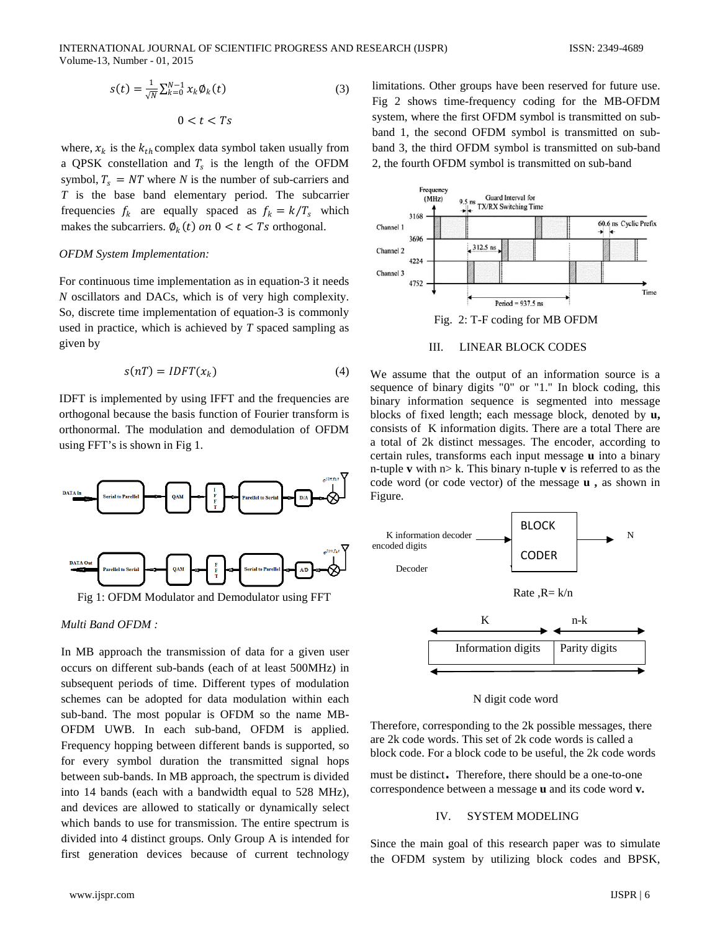$$
s(t) = \frac{1}{\sqrt{N}} \sum_{k=0}^{N-1} x_k \phi_k(t)
$$
\n
$$
0 < t < Ts
$$
\n
$$
(3)
$$

where,  $x_k$  is the  $k_{th}$  complex data symbol taken usually from a QPSK constellation and  $T_s$  is the length of the OFDM symbol,  $T_s = NT$  where *N* is the number of sub-carriers and *T* is the base band elementary period. The subcarrier frequencies  $f_k$  are equally spaced as  $f_k = k/T_s$  which makes the subcarriers.  $\phi_k(t)$  on  $0 < t < Ts$  orthogonal.

# *OFDM System Implementation:*

For continuous time implementation as in equation-3 it needs *N* oscillators and DACs, which is of very high complexity. So, discrete time implementation of equation-3 is commonly used in practice, which is achieved by *T* spaced sampling as given by

$$
s(nT) = IDFT(x_k)
$$
 (4)

IDFT is implemented by using IFFT and the frequencies are orthogonal because the basis function of Fourier transform is orthonormal. The modulation and demodulation of OFDM using FFT's is shown in Fig 1.



Fig 1: OFDM Modulator and Demodulator using FFT

## *Multi Band OFDM :*

In MB approach the transmission of data for a given user occurs on different sub-bands (each of at least 500MHz) in subsequent periods of time. Different types of modulation schemes can be adopted for data modulation within each sub-band. The most popular is OFDM so the name MB-OFDM UWB. In each sub-band, OFDM is applied. Frequency hopping between different bands is supported, so for every symbol duration the transmitted signal hops between sub-bands. In MB approach, the spectrum is divided into 14 bands (each with a bandwidth equal to 528 MHz), and devices are allowed to statically or dynamically select which bands to use for transmission. The entire spectrum is divided into 4 distinct groups. Only Group A is intended for first generation devices because of current technology limitations. Other groups have been reserved for future use. Fig 2 shows time-frequency coding for the MB-OFDM system, where the first OFDM symbol is transmitted on subband 1, the second OFDM symbol is transmitted on subband 3, the third OFDM symbol is transmitted on sub-band 2, the fourth OFDM symbol is transmitted on sub-band



# III. LINEAR BLOCK CODES

We assume that the output of an information source is a sequence of binary digits "0" or "1." In block coding, this binary information sequence is segmented into message blocks of fixed length; each message block, denoted by **u,**  consists of K information digits. There are a total There are a total of 2k distinct messages. The encoder, according to certain rules, transforms each input message **u** into a binary n-tuple **v** with n> k. This binary n-tuple **v** is referred to as the code word (or code vector) of the message **u ,** as shown in Figure.



#### N digit code word

Therefore, corresponding to the 2k possible messages, there are 2k code words. This set of 2k code words is called a block code. For a block code to be useful, the 2k code words

must be distinct. Therefore, there should be a one-to-one correspondence between a message **u** and its code word **v.**

#### IV. SYSTEM MODELING

Since the main goal of this research paper was to simulate the OFDM system by utilizing block codes and BPSK,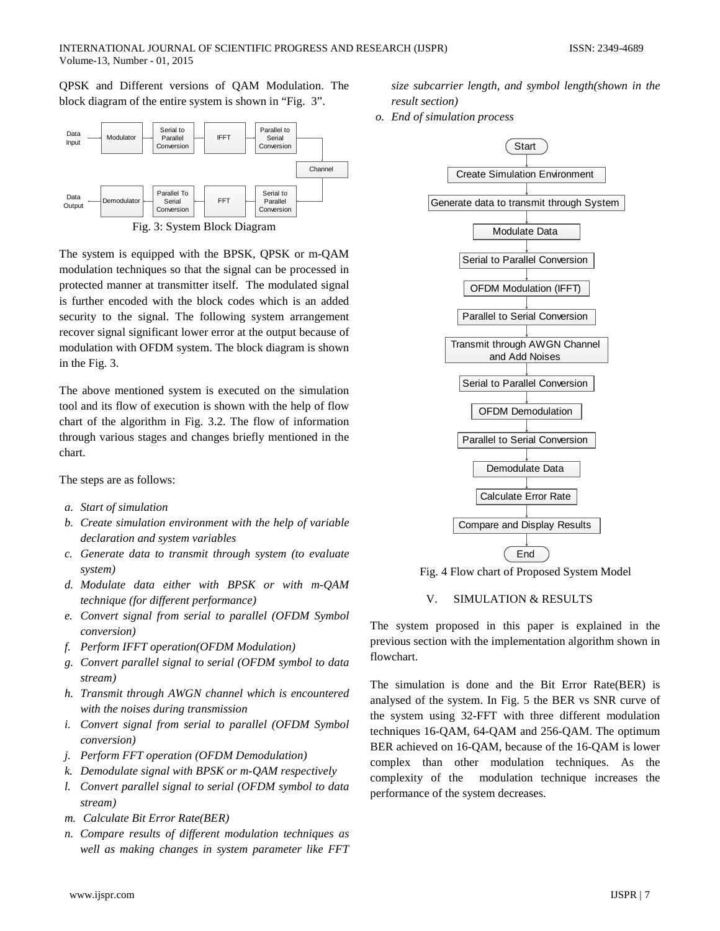QPSK and Different versions of QAM Modulation. The block diagram of the entire system is shown in "Fig. 3".



The system is equipped with the BPSK, QPSK or m-QAM modulation techniques so that the signal can be processed in protected manner at transmitter itself. The modulated signal is further encoded with the block codes which is an added security to the signal. The following system arrangement recover signal significant lower error at the output because of modulation with OFDM system. The block diagram is shown in the Fig. 3.

The above mentioned system is executed on the simulation tool and its flow of execution is shown with the help of flow chart of the algorithm in Fig. 3.2. The flow of information through various stages and changes briefly mentioned in the chart.

The steps are as follows:

- *a. Start of simulation*
- *b. Create simulation environment with the help of variable declaration and system variables*
- *c. Generate data to transmit through system (to evaluate system)*
- *d. Modulate data either with BPSK or with m-QAM technique (for different performance)*
- *e. Convert signal from serial to parallel (OFDM Symbol conversion)*
- *f. Perform IFFT operation(OFDM Modulation)*
- *g. Convert parallel signal to serial (OFDM symbol to data stream)*
- *h. Transmit through AWGN channel which is encountered with the noises during transmission*
- *i. Convert signal from serial to parallel (OFDM Symbol conversion)*
- *j. Perform FFT operation (OFDM Demodulation)*
- *k. Demodulate signal with BPSK or m-QAM respectively*
- *l. Convert parallel signal to serial (OFDM symbol to data stream)*
- *m. Calculate Bit Error Rate(BER)*
- *n. Compare results of different modulation techniques as well as making changes in system parameter like FFT*

*size subcarrier length, and symbol length(shown in the result section)*

*o. End of simulation process*



Fig. 4 Flow chart of Proposed System Model

# V. SIMULATION & RESULTS

The system proposed in this paper is explained in the previous section with the implementation algorithm shown in flowchart.

The simulation is done and the Bit Error Rate(BER) is analysed of the system. In Fig. 5 the BER vs SNR curve of the system using 32-FFT with three different modulation techniques 16-QAM, 64-QAM and 256-QAM. The optimum BER achieved on 16-QAM, because of the 16-QAM is lower complex than other modulation techniques. As the complexity of the modulation technique increases the performance of the system decreases.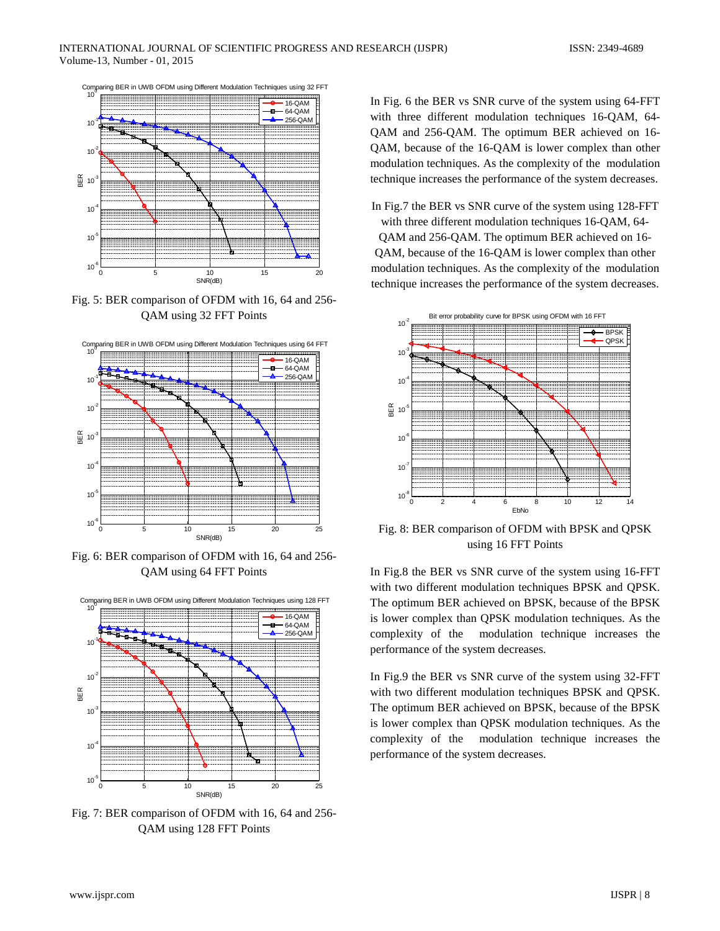

Fig. 5: BER comparison of OFDM with 16, 64 and 256- QAM using 32 FFT Points



Fig. 6: BER comparison of OFDM with 16, 64 and 256- QAM using 64 FFT Points



Fig. 7: BER comparison of OFDM with 16, 64 and 256- QAM using 128 FFT Points

In Fig. 6 the BER vs SNR curve of the system using 64-FFT with three different modulation techniques 16-QAM, 64- QAM and 256-QAM. The optimum BER achieved on 16- QAM, because of the 16-QAM is lower complex than other modulation techniques. As the complexity of the modulation technique increases the performance of the system decreases.

In Fig.7 the BER vs SNR curve of the system using 128-FFT with three different modulation techniques 16-QAM, 64-

QAM and 256-QAM. The optimum BER achieved on 16- QAM, because of the 16-QAM is lower complex than other modulation techniques. As the complexity of the modulation technique increases the performance of the system decreases.



Fig. 8: BER comparison of OFDM with BPSK and QPSK using 16 FFT Points

In Fig.8 the BER vs SNR curve of the system using 16-FFT with two different modulation techniques BPSK and QPSK. The optimum BER achieved on BPSK, because of the BPSK is lower complex than QPSK modulation techniques. As the complexity of the modulation technique increases the performance of the system decreases.

In Fig.9 the BER vs SNR curve of the system using 32-FFT with two different modulation techniques BPSK and QPSK. The optimum BER achieved on BPSK, because of the BPSK is lower complex than QPSK modulation techniques. As the complexity of the modulation technique increases the performance of the system decreases.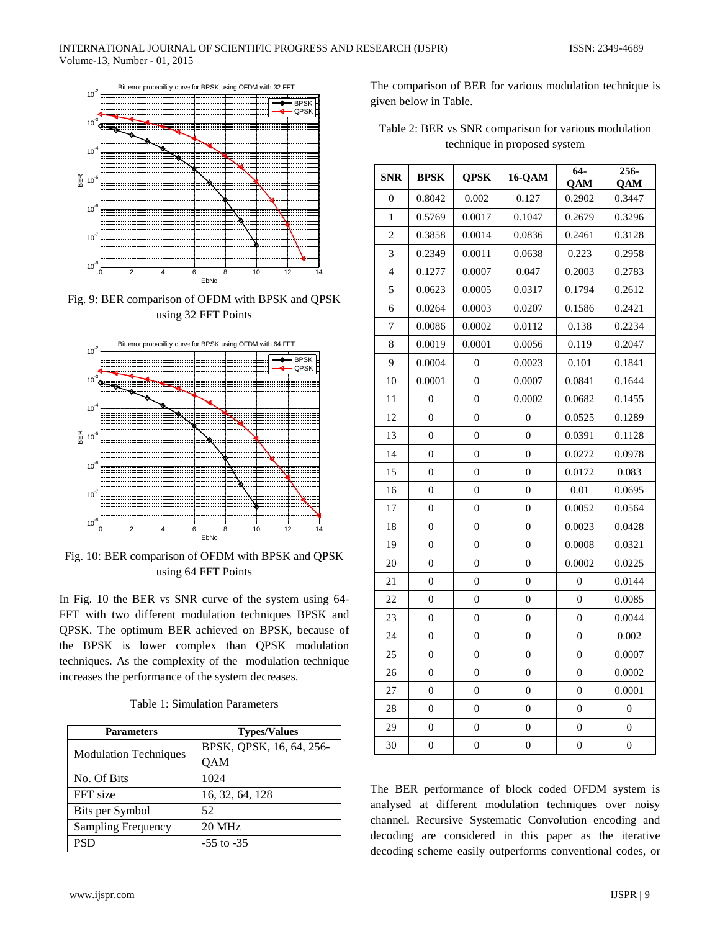

Fig. 9: BER comparison of OFDM with BPSK and QPSK using 32 FFT Points



Fig. 10: BER comparison of OFDM with BPSK and QPSK using 64 FFT Points

In Fig. 10 the BER vs SNR curve of the system using 64- FFT with two different modulation techniques BPSK and QPSK. The optimum BER achieved on BPSK, because of the BPSK is lower complex than QPSK modulation techniques. As the complexity of the modulation technique increases the performance of the system decreases.

| Table 1: Simulation Parameters |  |  |
|--------------------------------|--|--|
|--------------------------------|--|--|

| <b>Parameters</b>            | <b>Types/Values</b>      |  |
|------------------------------|--------------------------|--|
|                              | BPSK, QPSK, 16, 64, 256- |  |
| <b>Modulation Techniques</b> | QAM                      |  |
| No. Of Bits                  | 1024                     |  |
| FFT size                     | 16, 32, 64, 128          |  |
| Bits per Symbol              | 52                       |  |
| <b>Sampling Frequency</b>    | 20 MHz                   |  |
| <b>PSD</b>                   | $-55$ to $-35$           |  |

The comparison of BER for various modulation technique is given below in Table.

Table 2: BER vs SNR comparison for various modulation technique in proposed system

| <b>SNR</b>     | <b>BPSK</b>      | <b>QPSK</b>      | 16-QAM           | $64-$<br>QAM     | $256 -$<br>QAM   |
|----------------|------------------|------------------|------------------|------------------|------------------|
| $\overline{0}$ | 0.8042           | 0.002            | 0.127            | 0.2902           | 0.3447           |
| 1              | 0.5769           | 0.0017           | 0.1047           | 0.2679           | 0.3296           |
| 2              | 0.3858           | 0.0014           | 0.0836           | 0.2461           | 0.3128           |
| 3              | 0.2349           | 0.0011           | 0.0638           | 0.223            | 0.2958           |
| 4              | 0.1277           | 0.0007           | 0.047            | 0.2003           | 0.2783           |
| 5              | 0.0623           | 0.0005           | 0.0317           | 0.1794           | 0.2612           |
| 6              | 0.0264           | 0.0003           | 0.0207           | 0.1586           | 0.2421           |
| 7              | 0.0086           | 0.0002           | 0.0112           | 0.138            | 0.2234           |
| 8              | 0.0019           | 0.0001           | 0.0056           | 0.119            | 0.2047           |
| 9              | 0.0004           | $\overline{0}$   | 0.0023           | 0.101            | 0.1841           |
| 10             | 0.0001           | $\overline{0}$   | 0.0007           | 0.0841           | 0.1644           |
| 11             | $\overline{0}$   | $\overline{0}$   | 0.0002           | 0.0682           | 0.1455           |
| 12             | $\overline{0}$   | $\overline{0}$   | $\overline{0}$   | 0.0525           | 0.1289           |
| 13             | $\overline{0}$   | $\overline{0}$   | $\overline{0}$   | 0.0391           | 0.1128           |
| 14             | $\overline{0}$   | $\overline{0}$   | $\overline{0}$   | 0.0272           | 0.0978           |
| 15             | 0                | $\overline{0}$   | $\overline{0}$   | 0.0172           | 0.083            |
| 16             | $\theta$         | $\boldsymbol{0}$ | $\boldsymbol{0}$ | 0.01             | 0.0695           |
| 17             | $\overline{0}$   | $\overline{0}$   | $\overline{0}$   | 0.0052           | 0.0564           |
| 18             | $\overline{0}$   | $\overline{0}$   | $\overline{0}$   | 0.0023           | 0.0428           |
| 19             | $\overline{0}$   | $\overline{0}$   | $\overline{0}$   | 0.0008           | 0.0321           |
| 20             | $\overline{0}$   | $\overline{0}$   | $\overline{0}$   | 0.0002           | 0.0225           |
| 21             | 0                | 0                | 0                | $\theta$         | 0.0144           |
| 22             | $\overline{0}$   | $\overline{0}$   | $\boldsymbol{0}$ | $\overline{0}$   | 0.0085           |
| 23             | $\overline{0}$   | $\overline{0}$   | $\overline{0}$   | $\overline{0}$   | 0.0044           |
| 24             | $\overline{0}$   | $\boldsymbol{0}$ | 0                | $\overline{0}$   | 0.002            |
| 25             | $\overline{0}$   | $\overline{0}$   | $\overline{0}$   | $\mathbf{0}$     | 0.0007           |
| 26             | $\overline{0}$   | $\overline{0}$   | 0                | $\theta$         | 0.0002           |
| 27             | $\boldsymbol{0}$ | $\boldsymbol{0}$ | 0                | 0                | 0.0001           |
| 28             | $\boldsymbol{0}$ | $\boldsymbol{0}$ | $\boldsymbol{0}$ | $\boldsymbol{0}$ | $\boldsymbol{0}$ |
| 29             | $\overline{0}$   | $\overline{0}$   | $\overline{0}$   | $\overline{0}$   | $\overline{0}$   |
| 30             | $\overline{0}$   | $\boldsymbol{0}$ | $\boldsymbol{0}$ | 0                | $\overline{0}$   |

The BER performance of block coded OFDM system is analysed at different modulation techniques over noisy channel. Recursive Systematic Convolution encoding and decoding are considered in this paper as the iterative decoding scheme easily outperforms conventional codes, or